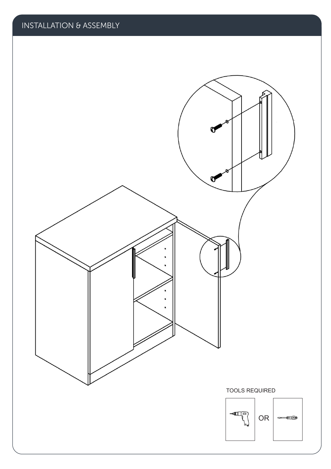